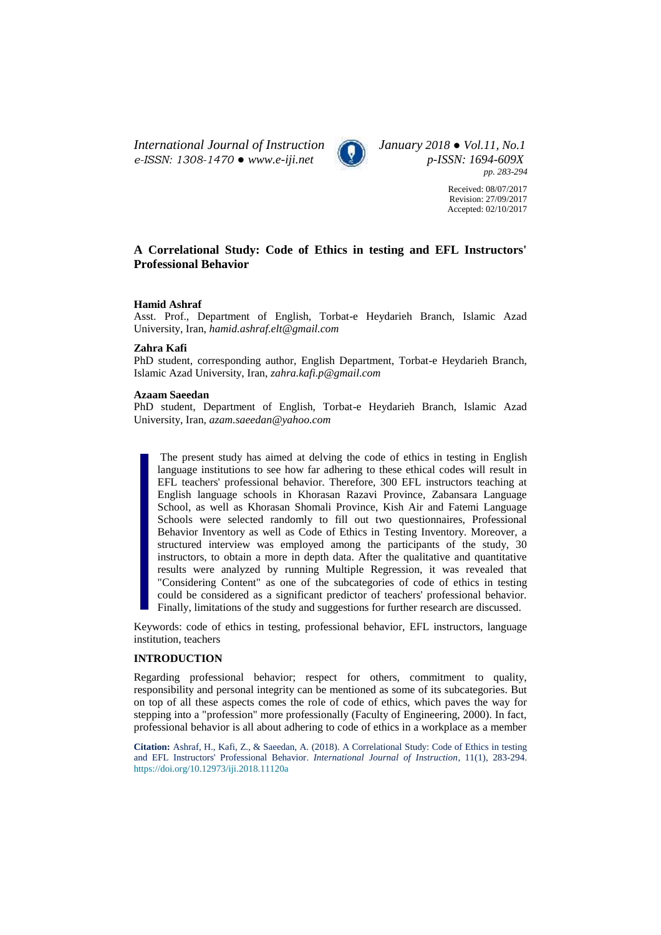*International Journal of Instruction January 2018 ● Vol.11, No.1 e-ISSN: 1308-1470 ● [www.e-iji.net](http://www.e-iji.net/) p-ISSN: 1694-609X*



*pp. 283-294*

Received: 08/07/2017 Revision: 27/09/2017 Accepted: 02/10/2017

# **A Correlational Study: Code of Ethics in testing and EFL Instructors' Professional Behavior**

### **Hamid Ashraf**

Asst. Prof., Department of English, Torbat-e Heydarieh Branch, Islamic Azad University, Iran, *[hamid.ashraf.elt@gmail.com](mailto:hamid.ashraf.elt@gmail.com)*

#### **Zahra Kafi**

PhD student, corresponding author, English Department, Torbat-e Heydarieh Branch, Islamic Azad University, Iran, *zahra.kafi.p@gmail.com*

### **Azaam Saeedan**

PhD student, Department of English, Torbat-e Heydarieh Branch, Islamic Azad University, Iran, *[azam.saeedan@yahoo.com](mailto:azam.saeedan@yahoo.com)*

The present study has aimed at delving the code of ethics in testing in English language institutions to see how far adhering to these ethical codes will result in EFL teachers' professional behavior. Therefore, 300 EFL instructors teaching at English language schools in Khorasan Razavi Province, Zabansara Language School, as well as Khorasan Shomali Province, Kish Air and Fatemi Language Schools were selected randomly to fill out two questionnaires, Professional Behavior Inventory as well as Code of Ethics in Testing Inventory. Moreover, a structured interview was employed among the participants of the study, 30 instructors, to obtain a more in depth data. After the qualitative and quantitative results were analyzed by running Multiple Regression, it was revealed that "Considering Content" as one of the subcategories of code of ethics in testing could be considered as a significant predictor of teachers' professional behavior. Finally, limitations of the study and suggestions for further research are discussed.

Keywords: code of ethics in testing, professional behavior, EFL instructors, language institution, teachers

## **INTRODUCTION**

Regarding professional behavior; respect for others, commitment to quality, responsibility and personal integrity can be mentioned as some of its subcategories. But on top of all these aspects comes the role of code of ethics, which paves the way for stepping into a "profession" more professionally (Faculty of Engineering, 2000). In fact, professional behavior is all about adhering to code of ethics in a workplace as a member

**Citation:** Ashraf, H., Kafi, Z., & Saeedan, A. (2018). A Correlational Study: Code of Ethics in testing and EFL Instructors' Professional Behavior. *International Journal of Instruction*, 11(1), 283-294. <https://doi.org/10.12973/iji.2018.11120a>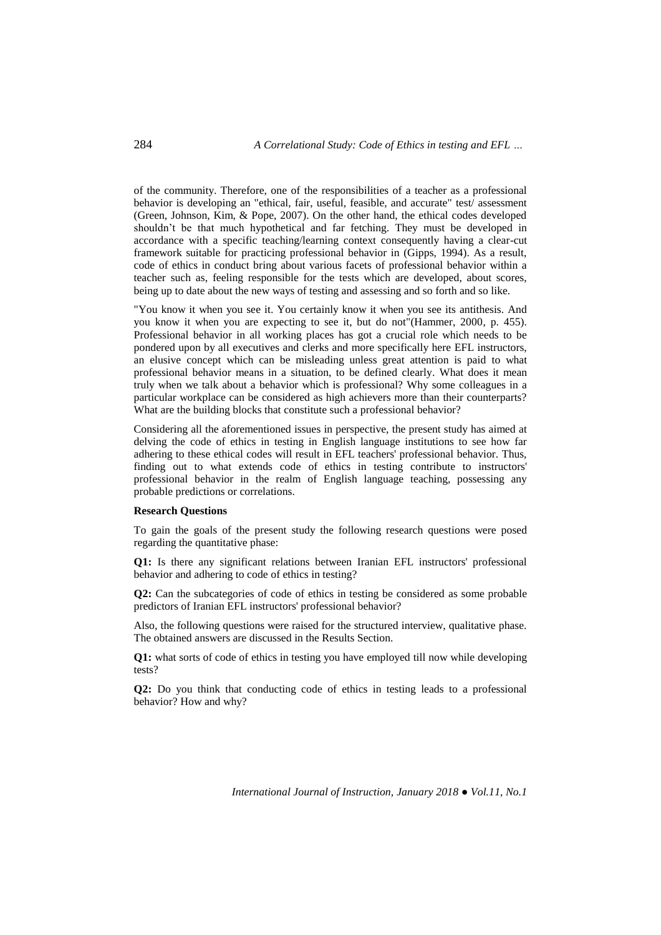of the community. Therefore, one of the responsibilities of a teacher as a professional behavior is developing an "ethical, fair, useful, feasible, and accurate" test/ assessment (Green, Johnson, Kim, & Pope, 2007). On the other hand, the ethical codes developed shouldn't be that much hypothetical and far fetching. They must be developed in accordance with a specific teaching/learning context consequently having a clear-cut framework suitable for practicing professional behavior in (Gipps, 1994). As a result, code of ethics in conduct bring about various facets of professional behavior within a teacher such as, feeling responsible for the tests which are developed, about scores, being up to date about the new ways of testing and assessing and so forth and so like.

"You know it when you see it. You certainly know it when you see its antithesis. And you know it when you are expecting to see it, but do not"(Hammer, 2000, p. 455). Professional behavior in all working places has got a crucial role which needs to be pondered upon by all executives and clerks and more specifically here EFL instructors, an elusive concept which can be misleading unless great attention is paid to what professional behavior means in a situation, to be defined clearly. What does it mean truly when we talk about a behavior which is professional? Why some colleagues in a particular workplace can be considered as high achievers more than their counterparts? What are the building blocks that constitute such a professional behavior?

Considering all the aforementioned issues in perspective, the present study has aimed at delving the code of ethics in testing in English language institutions to see how far adhering to these ethical codes will result in EFL teachers' professional behavior. Thus, finding out to what extends code of ethics in testing contribute to instructors' professional behavior in the realm of English language teaching, possessing any probable predictions or correlations.

## **Research Questions**

To gain the goals of the present study the following research questions were posed regarding the quantitative phase:

**Q1:** Is there any significant relations between Iranian EFL instructors' professional behavior and adhering to code of ethics in testing?

**Q2:** Can the subcategories of code of ethics in testing be considered as some probable predictors of Iranian EFL instructors' professional behavior?

Also, the following questions were raised for the structured interview, qualitative phase. The obtained answers are discussed in the Results Section.

**Q1:** what sorts of code of ethics in testing you have employed till now while developing tests?

**Q2:** Do you think that conducting code of ethics in testing leads to a professional behavior? How and why?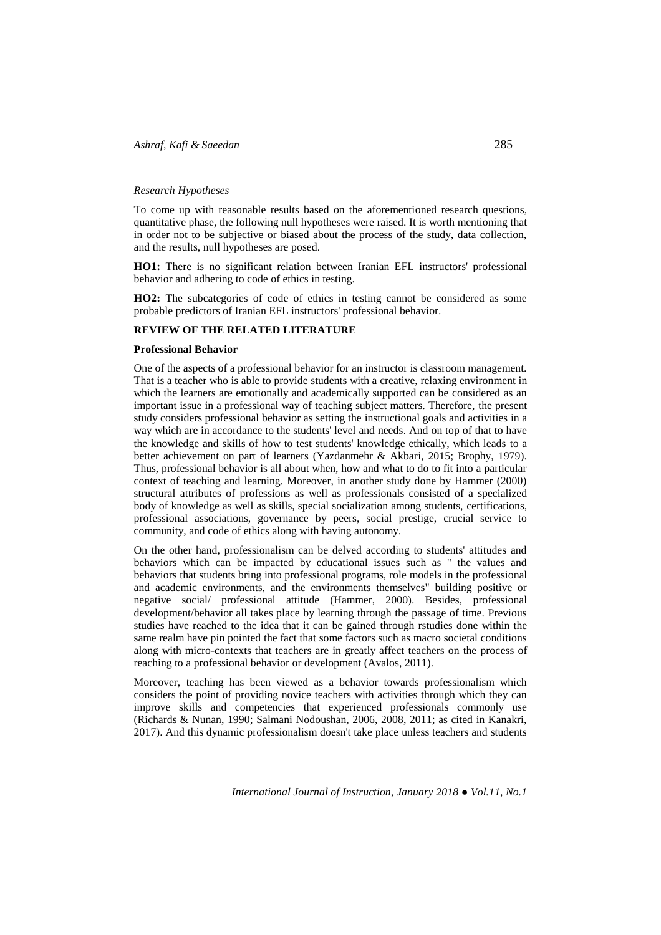#### *Research Hypotheses*

To come up with reasonable results based on the aforementioned research questions, quantitative phase, the following null hypotheses were raised. It is worth mentioning that in order not to be subjective or biased about the process of the study, data collection, and the results, null hypotheses are posed.

**HO1:** There is no significant relation between Iranian EFL instructors' professional behavior and adhering to code of ethics in testing.

**HO2:** The subcategories of code of ethics in testing cannot be considered as some probable predictors of Iranian EFL instructors' professional behavior.

#### **REVIEW OF THE RELATED LITERATURE**

#### **Professional Behavior**

One of the aspects of a professional behavior for an instructor is classroom management. That is a teacher who is able to provide students with a creative, relaxing environment in which the learners are emotionally and academically supported can be considered as an important issue in a professional way of teaching subject matters. Therefore, the present study considers professional behavior as setting the instructional goals and activities in a way which are in accordance to the students' level and needs. And on top of that to have the knowledge and skills of how to test students' knowledge ethically, which leads to a better achievement on part of learners (Yazdanmehr & Akbari, 2015; Brophy, 1979). Thus, professional behavior is all about when, how and what to do to fit into a particular context of teaching and learning. Moreover, in another study done by Hammer (2000) structural attributes of professions as well as professionals consisted of a specialized body of knowledge as well as skills, special socialization among students, certifications, professional associations, governance by peers, social prestige, crucial service to community, and code of ethics along with having autonomy.

On the other hand, professionalism can be delved according to students' attitudes and behaviors which can be impacted by educational issues such as " the values and behaviors that students bring into professional programs, role models in the professional and academic environments, and the environments themselves" building positive or negative social/ professional attitude (Hammer, 2000). Besides, professional development/behavior all takes place by learning through the passage of time. Previous studies have reached to the idea that it can be gained through rstudies done within the same realm have pin pointed the fact that some factors such as macro societal conditions along with micro-contexts that teachers are in greatly affect teachers on the process of reaching to a professional behavior or development (Avalos, 2011).

Moreover, teaching has been viewed as a behavior towards professionalism which considers the point of providing novice teachers with activities through which they can improve skills and competencies that experienced professionals commonly use (Richards & Nunan, 1990; Salmani Nodoushan, 2006, 2008, 2011; as cited in Kanakri, 2017). And this dynamic professionalism doesn't take place unless teachers and students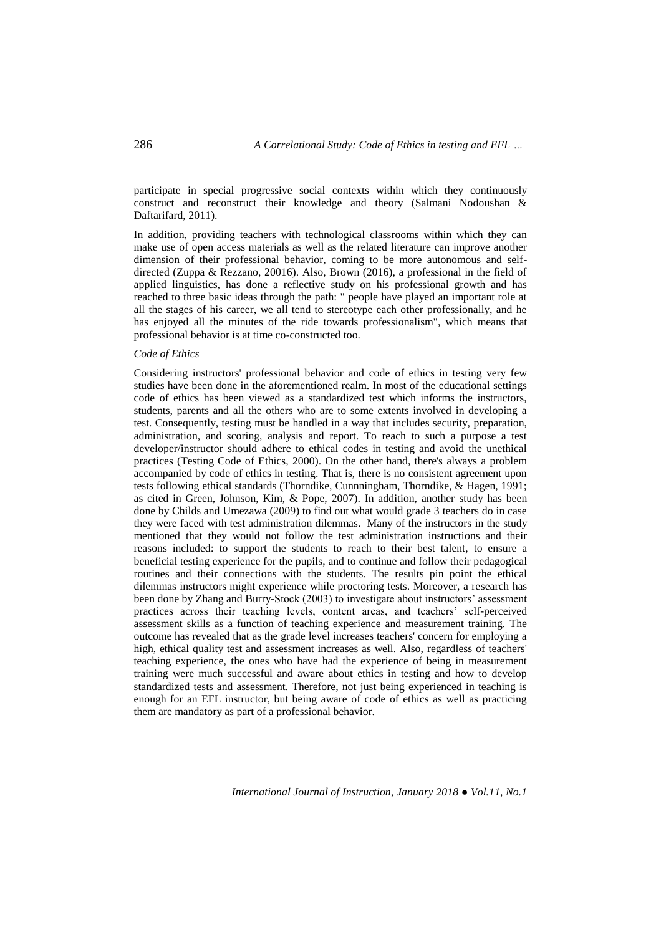participate in special progressive social contexts within which they continuously construct and reconstruct their knowledge and theory (Salmani Nodoushan & Daftarifard, 2011).

In addition, providing teachers with technological classrooms within which they can make use of open access materials as well as the related literature can improve another dimension of their professional behavior, coming to be more autonomous and selfdirected (Zuppa & Rezzano, 20016). Also, Brown (2016), a professional in the field of applied linguistics, has done a reflective study on his professional growth and has reached to three basic ideas through the path: " people have played an important role at all the stages of his career, we all tend to stereotype each other professionally, and he has enjoyed all the minutes of the ride towards professionalism", which means that professional behavior is at time co-constructed too.

#### *Code of Ethics*

Considering instructors' professional behavior and code of ethics in testing very few studies have been done in the aforementioned realm. In most of the educational settings code of ethics has been viewed as a standardized test which informs the instructors, students, parents and all the others who are to some extents involved in developing a test. Consequently, testing must be handled in a way that includes security, preparation, administration, and scoring, analysis and report. To reach to such a purpose a test developer/instructor should adhere to ethical codes in testing and avoid the unethical practices (Testing Code of Ethics, 2000). On the other hand, there's always a problem accompanied by code of ethics in testing. That is, there is no consistent agreement upon tests following ethical standards (Thorndike, Cunnningham, Thorndike, & Hagen, 1991; as cited in Green, Johnson, Kim, & Pope, 2007). In addition, another study has been done by Childs and Umezawa (2009) to find out what would grade 3 teachers do in case they were faced with test administration dilemmas. Many of the instructors in the study mentioned that they would not follow the test administration instructions and their reasons included: to support the students to reach to their best talent, to ensure a beneficial testing experience for the pupils, and to continue and follow their pedagogical routines and their connections with the students. The results pin point the ethical dilemmas instructors might experience while proctoring tests. Moreover, a research has been done by Zhang and Burry-Stock (2003) to investigate about instructors' assessment practices across their teaching levels, content areas, and teachers' self-perceived assessment skills as a function of teaching experience and measurement training. The outcome has revealed that as the grade level increases teachers' concern for employing a high, ethical quality test and assessment increases as well. Also, regardless of teachers' teaching experience, the ones who have had the experience of being in measurement training were much successful and aware about ethics in testing and how to develop standardized tests and assessment. Therefore, not just being experienced in teaching is enough for an EFL instructor, but being aware of code of ethics as well as practicing them are mandatory as part of a professional behavior.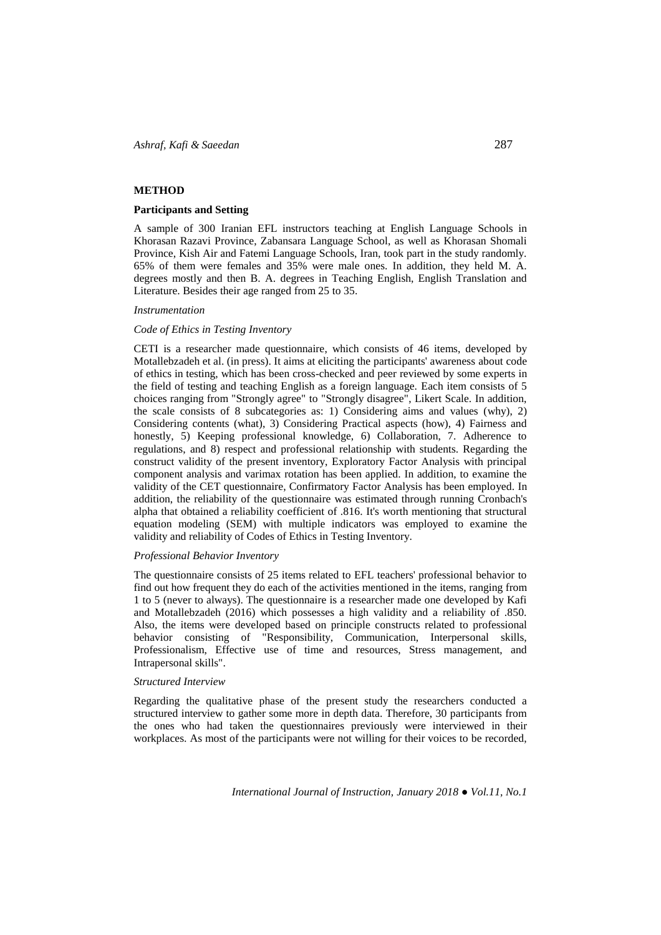## **METHOD**

#### **Participants and Setting**

A sample of 300 Iranian EFL instructors teaching at English Language Schools in Khorasan Razavi Province, Zabansara Language School, as well as Khorasan Shomali Province, Kish Air and Fatemi Language Schools, Iran, took part in the study randomly. 65% of them were females and 35% were male ones. In addition, they held M. A. degrees mostly and then B. A. degrees in Teaching English, English Translation and Literature. Besides their age ranged from 25 to 35.

### *Instrumentation*

### *Code of Ethics in Testing Inventory*

CETI is a researcher made questionnaire, which consists of 46 items, developed by Motallebzadeh et al. (in press). It aims at eliciting the participants' awareness about code of ethics in testing, which has been cross-checked and peer reviewed by some experts in the field of testing and teaching English as a foreign language. Each item consists of 5 choices ranging from "Strongly agree" to "Strongly disagree", Likert Scale. In addition, the scale consists of 8 subcategories as: 1) Considering aims and values (why), 2) Considering contents (what), 3) Considering Practical aspects (how), 4) Fairness and honestly, 5) Keeping professional knowledge, 6) Collaboration, 7. Adherence to regulations, and 8) respect and professional relationship with students. Regarding the construct validity of the present inventory, Exploratory Factor Analysis with principal component analysis and varimax rotation has been applied. In addition, to examine the validity of the CET questionnaire, Confirmatory Factor Analysis has been employed. In addition, the reliability of the questionnaire was estimated through running Cronbach's alpha that obtained a reliability coefficient of .816. It's worth mentioning that structural equation modeling (SEM) with multiple indicators was employed to examine the validity and reliability of Codes of Ethics in Testing Inventory.

#### *Professional Behavior Inventory*

The questionnaire consists of 25 items related to EFL teachers' professional behavior to find out how frequent they do each of the activities mentioned in the items, ranging from 1 to 5 (never to always). The questionnaire is a researcher made one developed by Kafi and Motallebzadeh (2016) which possesses a high validity and a reliability of .850. Also, the items were developed based on principle constructs related to professional behavior consisting of "Responsibility, Communication, Interpersonal skills, Professionalism, Effective use of time and resources, Stress management, and Intrapersonal skills".

### *Structured Interview*

Regarding the qualitative phase of the present study the researchers conducted a structured interview to gather some more in depth data. Therefore, 30 participants from the ones who had taken the questionnaires previously were interviewed in their workplaces. As most of the participants were not willing for their voices to be recorded,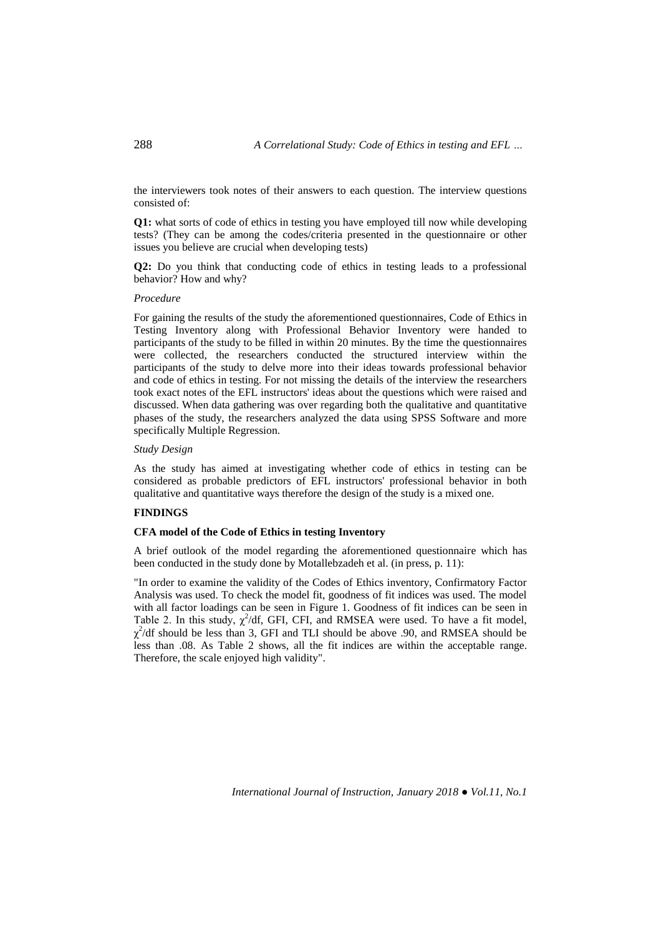the interviewers took notes of their answers to each question. The interview questions consisted of:

**Q1:** what sorts of code of ethics in testing you have employed till now while developing tests? (They can be among the codes/criteria presented in the questionnaire or other issues you believe are crucial when developing tests)

**Q2:** Do you think that conducting code of ethics in testing leads to a professional behavior? How and why?

#### *Procedure*

For gaining the results of the study the aforementioned questionnaires, Code of Ethics in Testing Inventory along with Professional Behavior Inventory were handed to participants of the study to be filled in within 20 minutes. By the time the questionnaires were collected, the researchers conducted the structured interview within the participants of the study to delve more into their ideas towards professional behavior and code of ethics in testing. For not missing the details of the interview the researchers took exact notes of the EFL instructors' ideas about the questions which were raised and discussed. When data gathering was over regarding both the qualitative and quantitative phases of the study, the researchers analyzed the data using SPSS Software and more specifically Multiple Regression.

## *Study Design*

As the study has aimed at investigating whether code of ethics in testing can be considered as probable predictors of EFL instructors' professional behavior in both qualitative and quantitative ways therefore the design of the study is a mixed one.

## **FINDINGS**

## **CFA model of the Code of Ethics in testing Inventory**

A brief outlook of the model regarding the aforementioned questionnaire which has been conducted in the study done by Motallebzadeh et al. (in press, p. 11):

"In order to examine the validity of the Codes of Ethics inventory, Confirmatory Factor Analysis was used. To check the model fit, goodness of fit indices was used. The model with all factor loadings can be seen in Figure 1. Goodness of fit indices can be seen in Table 2. In this study,  $\chi^2/df$ , GFI, CFI, and RMSEA were used. To have a fit model,  $\chi^2$ /df should be less than 3, GFI and TLI should be above .90, and RMSEA should be less than .08. As Table 2 shows, all the fit indices are within the acceptable range. Therefore, the scale enjoyed high validity".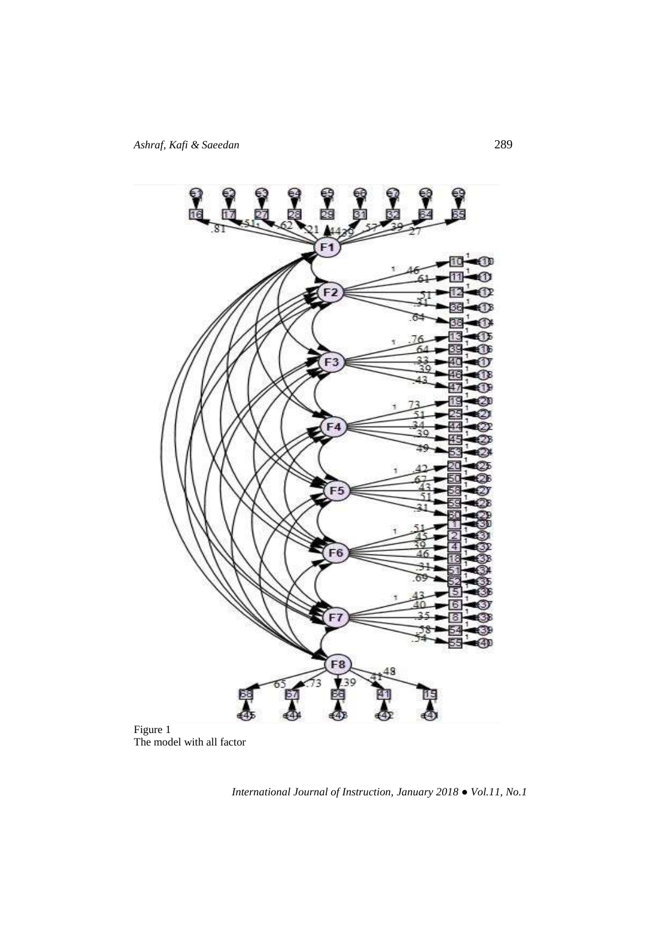

The model with all factor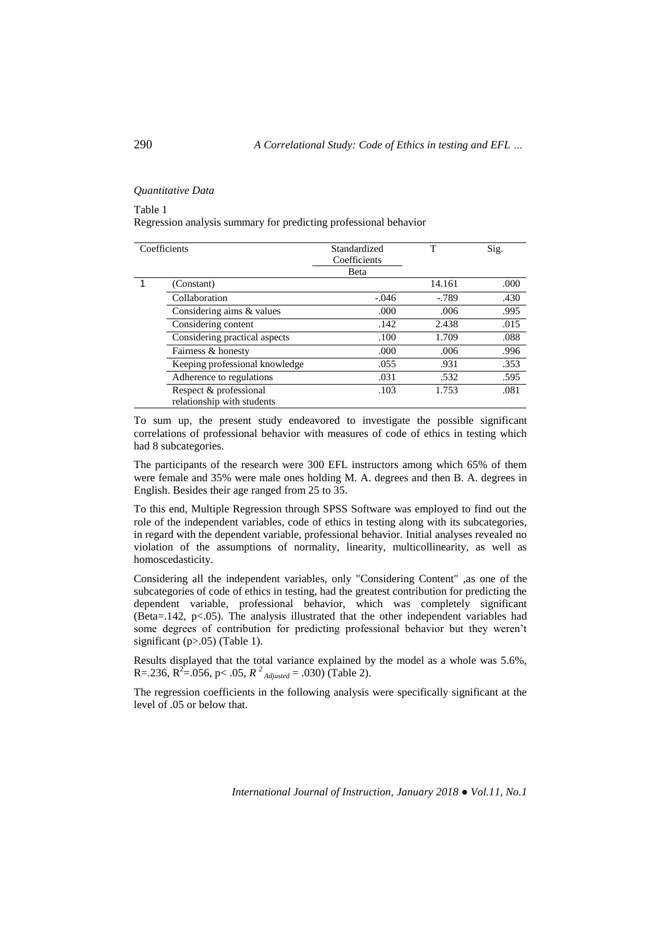## *Quantitative Data*

## Table 1

Regression analysis summary for predicting professional behavior

| Coefficients |                                                      | Standardized<br>Coefficients<br>Beta | т       | Sig. |
|--------------|------------------------------------------------------|--------------------------------------|---------|------|
|              | (Constant)                                           |                                      | 14.161  | .000 |
|              | Collaboration                                        | $-.046$                              | $-.789$ | .430 |
|              | Considering aims & values                            | .000                                 | .006    | .995 |
|              | Considering content                                  | .142                                 | 2.438   | .015 |
|              | Considering practical aspects                        | .100                                 | 1.709   | .088 |
|              | Fairness & honesty                                   | .000                                 | .006    | .996 |
|              | Keeping professional knowledge                       | .055                                 | .931    | .353 |
|              | Adherence to regulations                             | .031                                 | .532    | .595 |
|              | Respect & professional<br>relationship with students | .103                                 | 1.753   | .081 |

To sum up, the present study endeavored to investigate the possible significant correlations of professional behavior with measures of code of ethics in testing which had 8 subcategories.

The participants of the research were 300 EFL instructors among which 65% of them were female and 35% were male ones holding M. A. degrees and then B. A. degrees in English. Besides their age ranged from 25 to 35.

To this end, Multiple Regression through SPSS Software was employed to find out the role of the independent variables, code of ethics in testing along with its subcategories, in regard with the dependent variable, professional behavior. Initial analyses revealed no violation of the assumptions of normality, linearity, multicollinearity, as well as homoscedasticity.

Considering all the independent variables, only "Considering Content" ,as one of the subcategories of code of ethics in testing, had the greatest contribution for predicting the dependent variable, professional behavior, which was completely significant (Beta=.142,  $p<.05$ ). The analysis illustrated that the other independent variables had some degrees of contribution for predicting professional behavior but they weren't significant  $(p>0.05)$  (Table 1).

Results displayed that the total variance explained by the model as a whole was 5.6%,  $R = 0.236$ ,  $R^2 = 0.056$ ,  $p < 0.05$ ,  $R^2$ <sub>*Adjusted*</sub> = .030) (Table 2).

The regression coefficients in the following analysis were specifically significant at the level of .05 or below that.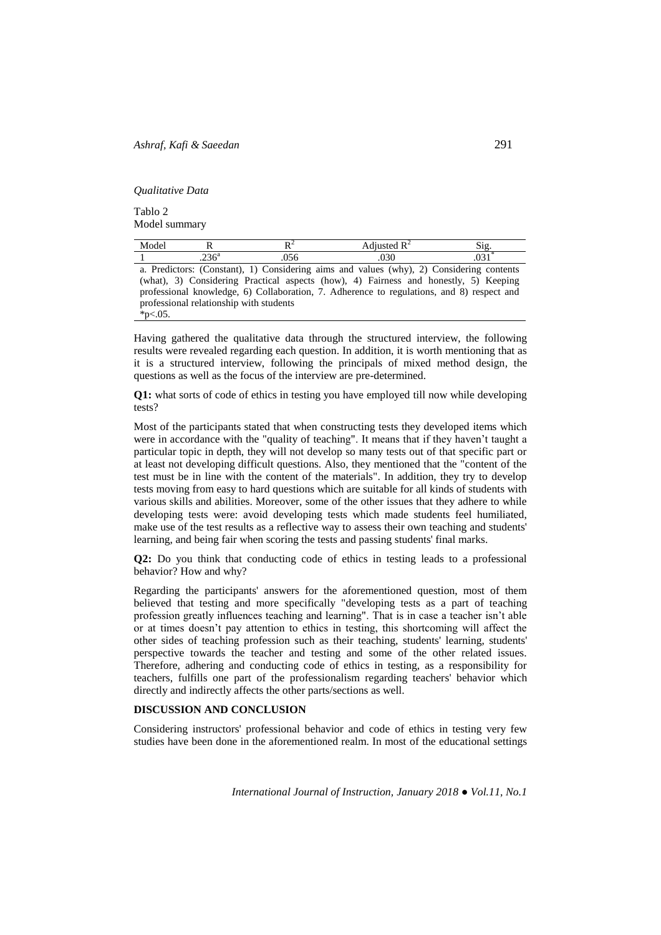## *Qualitative Data*

Tablo 2 Model summary

| Mode                     |            |                                          |                         |
|--------------------------|------------|------------------------------------------|-------------------------|
|                          |            |                                          |                         |
| Dradictore:<br>$\bullet$ | (Constant) | $\sim$ Considering aims and values (why) | 2) Considering contents |

a. Predictors: (Constant), 1) Considering aims and values (why), 2) Considering contents (what), 3) Considering Practical aspects (how), 4) Fairness and honestly, 5) Keeping professional knowledge, 6) Collaboration, 7. Adherence to regulations, and 8) respect and professional relationship with students \*p $< 05$ .

Having gathered the qualitative data through the structured interview, the following results were revealed regarding each question. In addition, it is worth mentioning that as it is a structured interview, following the principals of mixed method design*,* the questions as well as the focus of the interview are pre-determined.

**Q1:** what sorts of code of ethics in testing you have employed till now while developing tests?

Most of the participants stated that when constructing tests they developed items which were in accordance with the "quality of teaching". It means that if they haven't taught a particular topic in depth, they will not develop so many tests out of that specific part or at least not developing difficult questions. Also, they mentioned that the "content of the test must be in line with the content of the materials". In addition, they try to develop tests moving from easy to hard questions which are suitable for all kinds of students with various skills and abilities. Moreover, some of the other issues that they adhere to while developing tests were: avoid developing tests which made students feel humiliated, make use of the test results as a reflective way to assess their own teaching and students' learning, and being fair when scoring the tests and passing students' final marks.

**Q2:** Do you think that conducting code of ethics in testing leads to a professional behavior? How and why?

Regarding the participants' answers for the aforementioned question, most of them believed that testing and more specifically "developing tests as a part of teaching profession greatly influences teaching and learning". That is in case a teacher isn't able or at times doesn't pay attention to ethics in testing, this shortcoming will affect the other sides of teaching profession such as their teaching, students' learning, students' perspective towards the teacher and testing and some of the other related issues. Therefore, adhering and conducting code of ethics in testing, as a responsibility for teachers, fulfills one part of the professionalism regarding teachers' behavior which directly and indirectly affects the other parts/sections as well.

## **DISCUSSION AND CONCLUSION**

Considering instructors' professional behavior and code of ethics in testing very few studies have been done in the aforementioned realm. In most of the educational settings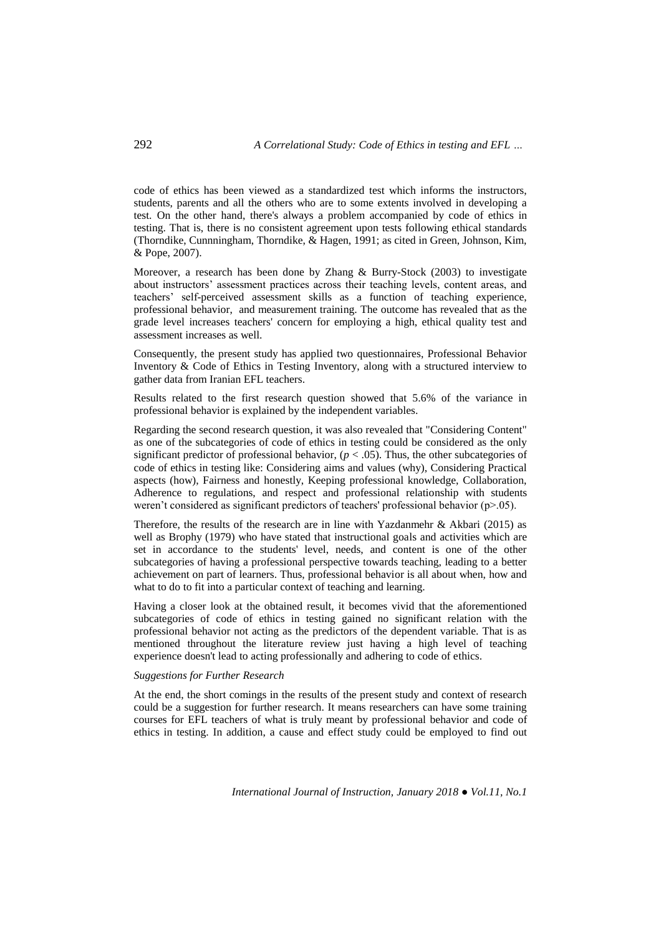code of ethics has been viewed as a standardized test which informs the instructors, students, parents and all the others who are to some extents involved in developing a test. On the other hand, there's always a problem accompanied by code of ethics in testing. That is, there is no consistent agreement upon tests following ethical standards (Thorndike, Cunnningham, Thorndike, & Hagen, 1991; as cited in Green, Johnson, Kim, & Pope, 2007).

Moreover, a research has been done by Zhang & Burry-Stock (2003) to investigate about instructors' assessment practices across their teaching levels, content areas, and teachers' self-perceived assessment skills as a function of teaching experience, professional behavior, and measurement training. The outcome has revealed that as the grade level increases teachers' concern for employing a high, ethical quality test and assessment increases as well.

Consequently, the present study has applied two questionnaires, Professional Behavior Inventory & Code of Ethics in Testing Inventory, along with a structured interview to gather data from Iranian EFL teachers.

Results related to the first research question showed that 5.6% of the variance in professional behavior is explained by the independent variables.

Regarding the second research question, it was also revealed that "Considering Content" as one of the subcategories of code of ethics in testing could be considered as the only significant predictor of professional behavior,  $(p < .05)$ . Thus, the other subcategories of code of ethics in testing like: Considering aims and values (why), Considering Practical aspects (how), Fairness and honestly, Keeping professional knowledge, Collaboration, Adherence to regulations, and respect and professional relationship with students weren't considered as significant predictors of teachers' professional behavior (p>.05).

Therefore, the results of the research are in line with Yazdanmehr & Akbari (2015) as well as Brophy (1979) who have stated that instructional goals and activities which are set in accordance to the students' level, needs, and content is one of the other subcategories of having a professional perspective towards teaching, leading to a better achievement on part of learners. Thus, professional behavior is all about when, how and what to do to fit into a particular context of teaching and learning.

Having a closer look at the obtained result, it becomes vivid that the aforementioned subcategories of code of ethics in testing gained no significant relation with the professional behavior not acting as the predictors of the dependent variable. That is as mentioned throughout the literature review just having a high level of teaching experience doesn't lead to acting professionally and adhering to code of ethics.

## *Suggestions for Further Research*

At the end, the short comings in the results of the present study and context of research could be a suggestion for further research. It means researchers can have some training courses for EFL teachers of what is truly meant by professional behavior and code of ethics in testing. In addition, a cause and effect study could be employed to find out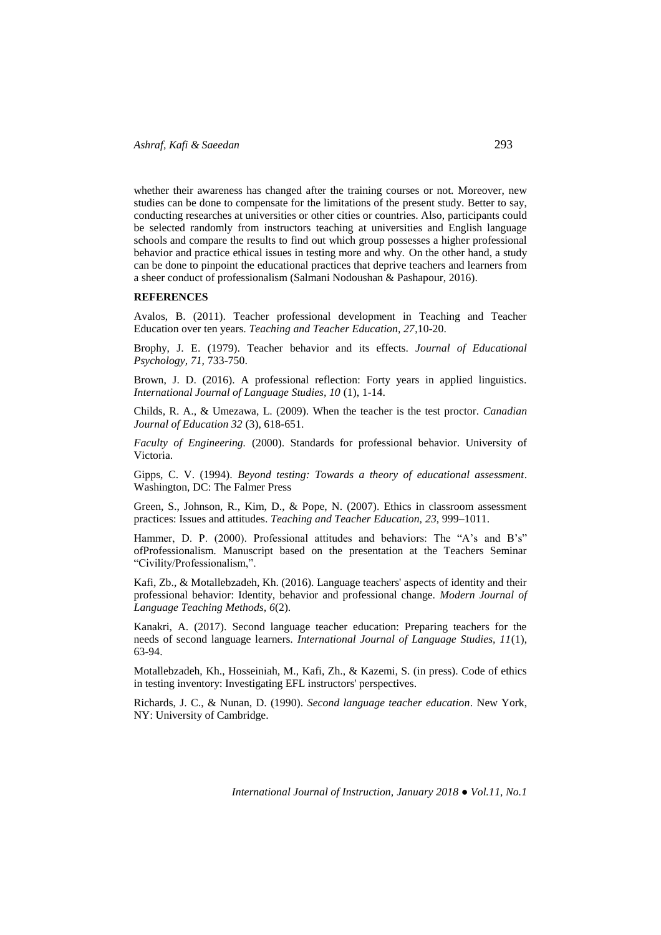whether their awareness has changed after the training courses or not. Moreover, new studies can be done to compensate for the limitations of the present study. Better to say, conducting researches at universities or other cities or countries. Also, participants could be selected randomly from instructors teaching at universities and English language schools and compare the results to find out which group possesses a higher professional behavior and practice ethical issues in testing more and why. On the other hand, a study can be done to pinpoint the educational practices that deprive teachers and learners from a sheer conduct of professionalism (Salmani Nodoushan & Pashapour, 2016).

#### **REFERENCES**

Avalos, B. (2011). Teacher professional development in Teaching and Teacher Education over ten years. *Teaching and Teacher Education, 27*,10-20.

Brophy, J. E. (1979). Teacher behavior and its effects. *Journal of Educational Psychology, 71,* 733-750.

Brown, J. D. (2016). A professional reflection: Forty years in applied linguistics. *International Journal of Language Studies, 10* (1), 1-14.

Childs, R. A., & Umezawa, L. (2009). When the teacher is the test proctor. *Canadian Journal of Education 32* (3), 618-651.

*Faculty of Engineering.* (2000). Standards for professional behavior. University of Victoria.

Gipps, C. V. (1994). *Beyond testing: Towards a theory of educational assessment*. Washington, DC: The Falmer Press

Green, S., Johnson, R., Kim, D., & Pope, N. (2007). Ethics in classroom assessment practices: Issues and attitudes. *Teaching and Teacher Education, 23*, 999–1011.

Hammer, D. P. (2000). Professional attitudes and behaviors: The "A's and B's" ofProfessionalism. Manuscript based on the presentation at the Teachers Seminar "Civility/Professionalism,".

Kafi, Zb., & Motallebzadeh, Kh. (2016). Language teachers' aspects of identity and their professional behavior: Identity, behavior and professional change. *Modern Journal of Language Teaching Methods, 6*(2).

Kanakri, A. (2017). Second language teacher education: Preparing teachers for the needs of second language learners. *International Journal of Language Studies, 11*(1), 63-94.

Motallebzadeh, Kh., Hosseiniah, M., Kafi, Zh., & Kazemi, S. (in press). Code of ethics in testing inventory: Investigating EFL instructors' perspectives.

Richards, J. C., & Nunan, D. (1990). *Second language teacher education*. New York, NY: University of Cambridge.